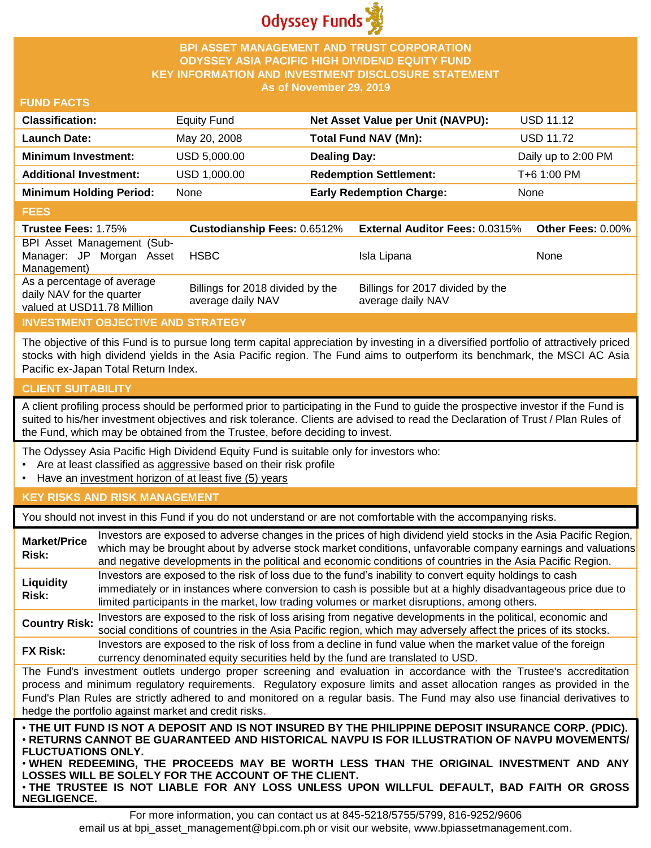

## **BPI ASSET MANAGEMENT AND TRUST CORPORATION ODYSSEY ASIA PACIFIC HIGH DIVIDEND EQUITY FUND KEY INFORMATION AND INVESTMENT DISCLOSURE STATEMENT As of November 29, 2019**

#### **FUND FACTS**

| <b>Classification:</b>         | <b>Equity Fund</b> | Net Asset Value per Unit (NAVPU): | <b>USD 11.12</b>    |
|--------------------------------|--------------------|-----------------------------------|---------------------|
| <b>Launch Date:</b>            | May 20, 2008       | Total Fund NAV (Mn):              | <b>USD 11.72</b>    |
| <b>Minimum Investment:</b>     | USD 5,000.00       | <b>Dealing Day:</b>               | Daily up to 2:00 PM |
| <b>Additional Investment:</b>  | USD 1,000.00       | <b>Redemption Settlement:</b>     | T+6 1:00 PM         |
| <b>Minimum Holding Period:</b> | None               | <b>Early Redemption Charge:</b>   | None                |

#### **FEES**

| <b>Trustee Fees: 1.75%</b>                                                            | <b>Custodianship Fees: 0.6512%</b>                    | <b>External Auditor Fees: 0.0315%</b>                 | <b>Other Fees: 0.00%</b> |
|---------------------------------------------------------------------------------------|-------------------------------------------------------|-------------------------------------------------------|--------------------------|
| BPI Asset Management (Sub-<br>Manager: JP Morgan Asset<br>Management)                 | <b>HSBC</b>                                           | Isla Lipana                                           | None                     |
| As a percentage of average<br>daily NAV for the quarter<br>valued at USD11.78 Million | Billings for 2018 divided by the<br>average daily NAV | Billings for 2017 divided by the<br>average daily NAV |                          |

# **INVESTMENT OBJECTIVE AND STRATEGY**

The objective of this Fund is to pursue long term capital appreciation by investing in a diversified portfolio of attractively priced stocks with high dividend yields in the Asia Pacific region. The Fund aims to outperform its benchmark, the MSCI AC Asia Pacific ex-Japan Total Return Index.

# **CLIENT SUITABILITY**

**NEGLIGENCE.**

A client profiling process should be performed prior to participating in the Fund to guide the prospective investor if the Fund is suited to his/her investment objectives and risk tolerance. Clients are advised to read the Declaration of Trust / Plan Rules of the Fund, which may be obtained from the Trustee, before deciding to invest.

The Odyssey Asia Pacific High Dividend Equity Fund is suitable only for investors who:

- Are at least classified as aggressive based on their risk profile
- Have an investment horizon of at least five (5) years

# **KEY RISKS AND RISK MANAGEMENT**

You should not invest in this Fund if you do not understand or are not comfortable with the accompanying risks.

| <b>Market/Price</b><br>Risk: | Investors are exposed to adverse changes in the prices of high dividend yield stocks in the Asia Pacific Region,<br>which may be brought about by adverse stock market conditions, unfavorable company earnings and valuations<br>and negative developments in the political and economic conditions of countries in the Asia Pacific Region.                                                                                                   |
|------------------------------|-------------------------------------------------------------------------------------------------------------------------------------------------------------------------------------------------------------------------------------------------------------------------------------------------------------------------------------------------------------------------------------------------------------------------------------------------|
| Liquidity<br>Risk:           | Investors are exposed to the risk of loss due to the fund's inability to convert equity holdings to cash<br>immediately or in instances where conversion to cash is possible but at a highly disadvantageous price due to<br>limited participants in the market, low trading volumes or market disruptions, among others.                                                                                                                       |
| <b>Country Risk:</b>         | Investors are exposed to the risk of loss arising from negative developments in the political, economic and<br>social conditions of countries in the Asia Pacific region, which may adversely affect the prices of its stocks.                                                                                                                                                                                                                  |
| <b>FX Risk:</b>              | Investors are exposed to the risk of loss from a decline in fund value when the market value of the foreign<br>currency denominated equity securities held by the fund are translated to USD.                                                                                                                                                                                                                                                   |
|                              | The Fund's investment outlets undergo proper screening and evaluation in accordance with the Trustee's accreditation<br>process and minimum regulatory requirements. Regulatory exposure limits and asset allocation ranges as provided in the<br>Fund's Plan Rules are strictly adhered to and monitored on a regular basis. The Fund may also use financial derivatives to<br>hedge the portfolio against market and credit risks.            |
| <b>FLUCTUATIONS ONLY.</b>    | . THE UIT FUND IS NOT A DEPOSIT AND IS NOT INSURED BY THE PHILIPPINE DEPOSIT INSURANCE CORP. (PDIC).<br>⋅RETURNS CANNOT BE GUARANTEED AND HISTORICAL NAVPU IS FOR ILLUSTRATION OF NAVPU MOVEMENTS/<br>. WHEN REDEEMING, THE PROCEEDS MAY BE WORTH LESS THAN THE ORIGINAL INVESTMENT AND ANY<br>LOSSES WILL BE SOLELY FOR THE ACCOUNT OF THE CLIENT.<br>. THE TRUSTEE IS NOT LIABLE FOR ANY LOSS UNLESS UPON WILLFUL DEFAULT, BAD FAITH OR GROSS |

For more information, you can contact us at 845-5218/5755/5799, 816-9252/9606 email us at bpi\_asset\_management@bpi.com.ph or visit our website, www.bpiassetmanagement.com.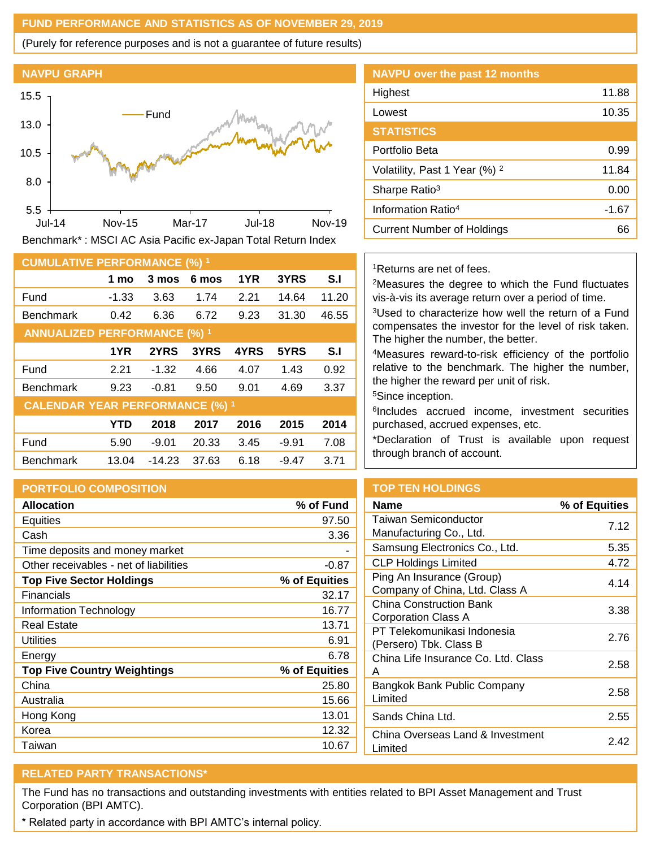## **FUND PERFORMANCE AND STATISTICS AS OF NOVEMBER 29, 2019**

(Purely for reference purposes and is not a guarantee of future results)



Benchmark\* : MSCI AC Asia Pacific ex-Japan Total Return Index

| <b>CUMULATIVE PERFORMANCE (%) 1</b>    |            |          |       |      |         |       |
|----------------------------------------|------------|----------|-------|------|---------|-------|
|                                        | 1 mo       | 3 mos    | 6 mos | 1YR  | 3YRS    | S.I   |
| Fund                                   | $-1.33$    | 3.63     | 1.74  | 2.21 | 14.64   | 11.20 |
| <b>Benchmark</b>                       | 0.42       | 6.36     | 6.72  | 9.23 | 31.30   | 46.55 |
| <b>ANNUALIZED PERFORMANCE (%) 1</b>    |            |          |       |      |         |       |
|                                        | 1YR        | 2YRS     | 3YRS  | 4YRS | 5YRS    | S.I   |
| Fund                                   | 2.21       | $-1.32$  | 4.66  | 4.07 | 1.43    | 0.92  |
| <b>Benchmark</b>                       | 9.23       | $-0.81$  | 9.50  | 9.01 | 4.69    | 3.37  |
| <b>CALENDAR YEAR PERFORMANCE (%) 1</b> |            |          |       |      |         |       |
|                                        | <b>YTD</b> | 2018     | 2017  | 2016 | 2015    | 2014  |
| Fund                                   | 5.90       | $-9.01$  | 20.33 | 3.45 | $-9.91$ | 7.08  |
| <b>Benchmark</b>                       | 13.04      | $-14.23$ | 37.63 | 6.18 | $-9.47$ | 3.71  |

# **PORTFOLIO COMPOSITION**

| <b>Allocation</b>                      | % of Fund     |
|----------------------------------------|---------------|
| Equities                               | 97.50         |
| Cash                                   | 3.36          |
| Time deposits and money market         |               |
| Other receivables - net of liabilities | $-0.87$       |
| <b>Top Five Sector Holdings</b>        | % of Equities |
| Financials                             | 32.17         |
| Information Technology                 | 16.77         |
| <b>Real Estate</b>                     | 13.71         |
| Utilities                              | 6.91          |
| Energy                                 | 6.78          |
| <b>Top Five Country Weightings</b>     | % of Equities |
| China                                  | 25.80         |
| Australia                              | 15.66         |
| Hong Kong                              | 13.01         |
| Korea                                  | 12.32         |
| Taiwan                                 | 10.67         |

| <b>NAVPU</b> over the past 12 months     |       |
|------------------------------------------|-------|
| Highest                                  | 11.88 |
| Lowest                                   | 10.35 |
| <b>STATISTICS</b>                        |       |
| Portfolio Beta                           | 0.99  |
| Volatility, Past 1 Year (%) <sup>2</sup> | 11.84 |
| Sharpe Ratio <sup>3</sup>                | 0.00  |
| Information Ratio <sup>4</sup>           | -1.67 |
| Current Number of Holdings               | 66    |

#### <sup>1</sup>Returns are net of fees.

<sup>2</sup>Measures the degree to which the Fund fluctuates vis-à-vis its average return over a period of time.

<sup>3</sup>Used to characterize how well the return of a Fund compensates the investor for the level of risk taken. The higher the number, the better.

<sup>4</sup>Measures reward-to-risk efficiency of the portfolio relative to the benchmark. The higher the number, the higher the reward per unit of risk.

<sup>5</sup>Since inception.

6 Includes accrued income, investment securities purchased, accrued expenses, etc.

\*Declaration of Trust is available upon request through branch of account.

# **TOP TEN HOLDINGS**

| Name                                                        | % of Equities |
|-------------------------------------------------------------|---------------|
| Taiwan Semiconductor<br>Manufacturing Co., Ltd.             | 7 12          |
| Samsung Electronics Co., Ltd.                               | 5.35          |
| CLP Holdings Limited                                        | 4.72          |
| Ping An Insurance (Group)<br>Company of China, Ltd. Class A | 4.14          |
| China Construction Bank<br>Corporation Class A              | 3.38          |
| PT Telekomunikasi Indonesia<br>(Persero) Tbk. Class B       | 2.76          |
| China Life Insurance Co. Ltd. Class<br>А                    | 2.58          |
| Bangkok Bank Public Company<br>Limited                      | 2.58          |
| Sands China Ltd.                                            | 2.55          |
| China Overseas Land & Investment<br>Limited                 | 242           |

# **RELATED PARTY TRANSACTIONS\***

The Fund has no transactions and outstanding investments with entities related to BPI Asset Management and Trust Corporation (BPI AMTC).

\* Related party in accordance with BPI AMTC's internal policy.